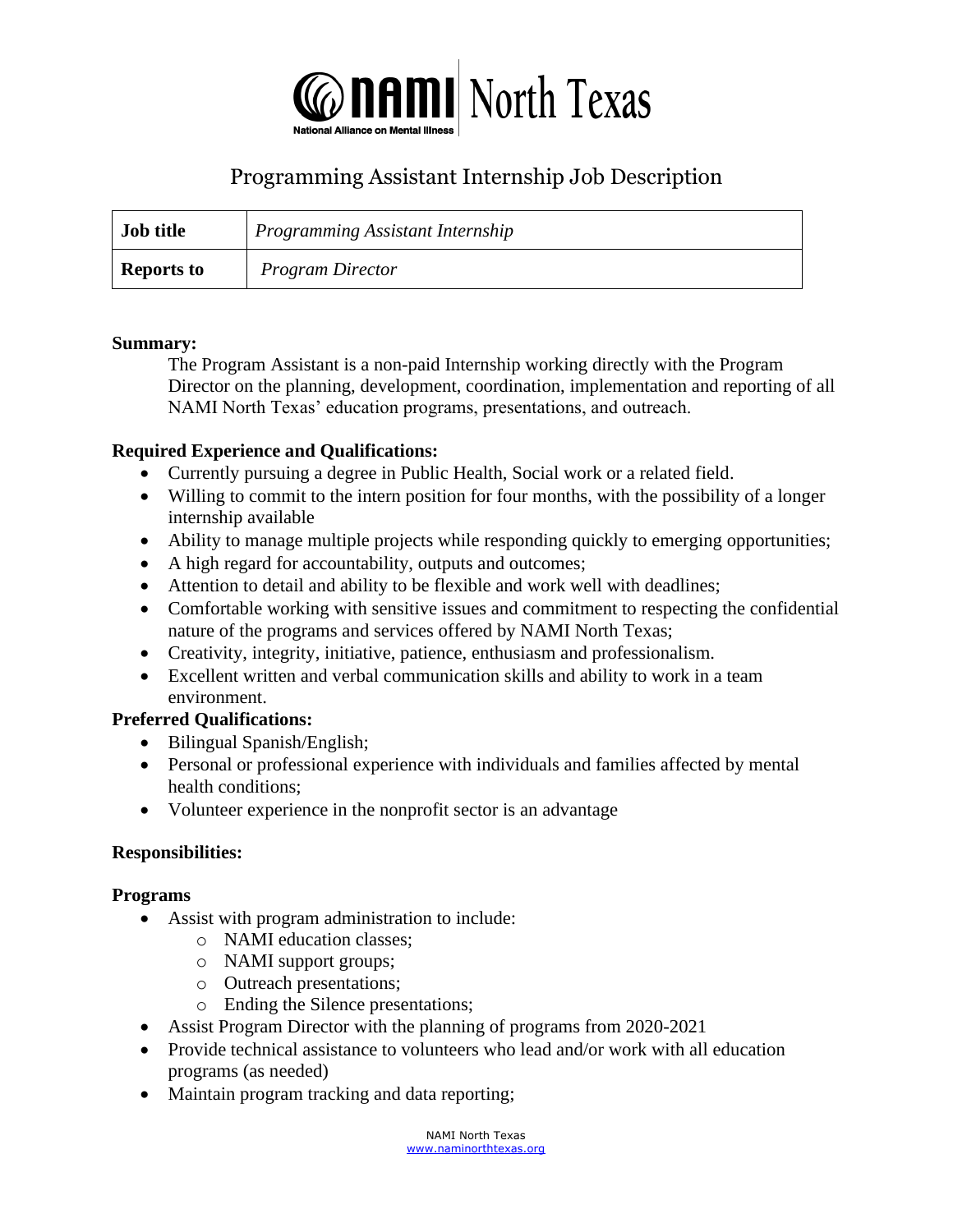

# Programming Assistant Internship Job Description

| <b>Job title</b>  | Programming Assistant Internship |
|-------------------|----------------------------------|
| <b>Reports to</b> | <b>Program Director</b>          |

#### **Summary:**

The Program Assistant is a non-paid Internship working directly with the Program Director on the planning, development, coordination, implementation and reporting of all NAMI North Texas' education programs, presentations, and outreach.

#### **Required Experience and Qualifications:**

- Currently pursuing a degree in Public Health, Social work or a related field.
- Willing to commit to the intern position for four months, with the possibility of a longer internship available
- Ability to manage multiple projects while responding quickly to emerging opportunities;
- A high regard for accountability, outputs and outcomes;
- Attention to detail and ability to be flexible and work well with deadlines;
- Comfortable working with sensitive issues and commitment to respecting the confidential nature of the programs and services offered by NAMI North Texas;
- Creativity, integrity, initiative, patience, enthusiasm and professionalism.
- Excellent written and verbal communication skills and ability to work in a team environment.

#### **Preferred Qualifications:**

- Bilingual Spanish/English;
- Personal or professional experience with individuals and families affected by mental health conditions;
- Volunteer experience in the nonprofit sector is an advantage

#### **Responsibilities:**

#### **Programs**

- Assist with program administration to include:
	- o NAMI education classes;
		- o NAMI support groups;
		- o Outreach presentations;
		- o Ending the Silence presentations;
- Assist Program Director with the planning of programs from 2020-2021
- Provide technical assistance to volunteers who lead and/or work with all education programs (as needed)
- Maintain program tracking and data reporting;